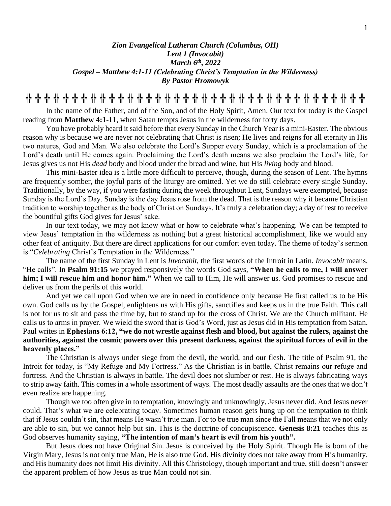## *Zion Evangelical Lutheran Church (Columbus, OH) Lent 1 (Invocabit) March 6 th , 2022 Gospel – Matthew 4:1-11 (Celebrating Christ's Temptation in the Wilderness) By Pastor Hromowyk*

**╬ ╬ ╬ ╬ ╬ ╬ ╬ ╬ ╬ ╬ ╬ ╬ ╬ ╬ ╬ ╬ ╬ ╬ ╬ ╬ ╬ ╬ ╬ ╬ ╬ ╬ ╬ ╬ ╬ ╬ ╬ ╬ ╬ ╬ ╬ ╬ ╬**

In the name of the Father, and of the Son, and of the Holy Spirit, Amen. Our text for today is the Gospel reading from **Matthew 4:1-11**, when Satan tempts Jesus in the wilderness for forty days.

You have probably heard it said before that every Sunday in the Church Year is a mini-Easter. The obvious reason why is because we are never not celebrating that Christ is risen; He lives and reigns for all eternity in His two natures, God and Man. We also celebrate the Lord's Supper every Sunday, which is a proclamation of the Lord's death until He comes again. Proclaiming the Lord's death means we also proclaim the Lord's life, for Jesus gives us not His *dead* body and blood under the bread and wine, but His *living* body and blood.

This mini-Easter idea is a little more difficult to perceive, though, during the season of Lent. The hymns are frequently somber, the joyful parts of the liturgy are omitted. Yet we do still celebrate every single Sunday. Traditionally, by the way, if you were fasting during the week throughout Lent, Sundays were exempted, because Sunday is the Lord's Day. Sunday is the day Jesus rose from the dead. That is the reason why it became Christian tradition to worship together as the body of Christ on Sundays. It's truly a celebration day; a day of rest to receive the bountiful gifts God gives for Jesus' sake.

In our text today, we may not know what or how to celebrate what's happening. We can be tempted to view Jesus' temptation in the wilderness as nothing but a great historical accomplishment, like we would any other feat of antiquity. But there are direct applications for our comfort even today. The theme of today's sermon is "*Celebrating* Christ's Temptation in the Wilderness."

The name of the first Sunday in Lent is *Invocabit*, the first words of the Introit in Latin. *Invocabit* means, "He calls". In **Psalm 91:15** we prayed responsively the words God says, **"When he calls to me, I will answer him; I will rescue him and honor him."** When we call to Him, He will answer us. God promises to rescue and deliver us from the perils of this world.

And yet we call upon God when we are in need in confidence only because He first called us to be His own. God calls us by the Gospel, enlightens us with His gifts, sanctifies and keeps us in the true Faith. This call is not for us to sit and pass the time by, but to stand up for the cross of Christ. We are the Church militant. He calls us to arms in prayer. We wield the sword that is God's Word, just as Jesus did in His temptation from Satan. Paul writes in **Ephesians 6:12, "we do not wrestle against flesh and blood, but against the rulers, against the authorities, against the cosmic powers over this present darkness, against the spiritual forces of evil in the heavenly places."**

The Christian is always under siege from the devil, the world, and our flesh. The title of Psalm 91, the Introit for today, is "My Refuge and My Fortress." As the Christian is in battle, Christ remains our refuge and fortress. And the Christian is always in battle. The devil does not slumber or rest. He is always fabricating ways to strip away faith. This comes in a whole assortment of ways. The most deadly assaults are the ones that we don't even realize are happening.

Though we too often give in to temptation, knowingly and unknowingly, Jesus never did. And Jesus never could. That's what we are celebrating today. Sometimes human reason gets hung up on the temptation to think that if Jesus couldn't sin, that means He wasn't true man. For to be true man since the Fall means that we not only are able to sin, but we cannot help but sin. This is the doctrine of concupiscence. **Genesis 8:21** teaches this as God observes humanity saying, **"The intention of man's heart is evil from his youth".** 

But Jesus does not have Original Sin. Jesus is conceived by the Holy Spirit. Though He is born of the Virgin Mary, Jesus is not only true Man, He is also true God. His divinity does not take away from His humanity, and His humanity does not limit His divinity. All this Christology, though important and true, still doesn't answer the apparent problem of how Jesus as true Man could not sin.